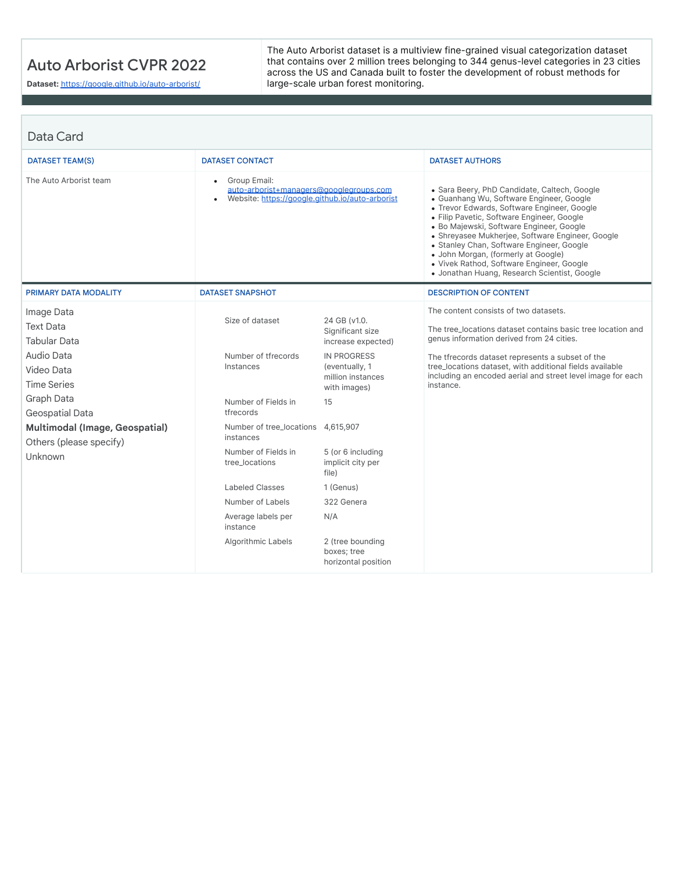## Auto Arborist CVPR 2022

**Dataset:** <https://google.github.io/auto-arborist/>

The Auto Arborist dataset is a multiview fine-grained visual categorization dataset that contains over 2 million trees belonging to 344 genus-level categories in 23 cities across the US and Canada built to foster the development of robust methods for large-scale urban forest monitoring.

| Data Card                                                                                                                                                                                                        |                                                                                                                                                                                     |                                                                                                                                                                                     |                                                                                                                                                                                                                                                                                                                                                                                                                                                                        |
|------------------------------------------------------------------------------------------------------------------------------------------------------------------------------------------------------------------|-------------------------------------------------------------------------------------------------------------------------------------------------------------------------------------|-------------------------------------------------------------------------------------------------------------------------------------------------------------------------------------|------------------------------------------------------------------------------------------------------------------------------------------------------------------------------------------------------------------------------------------------------------------------------------------------------------------------------------------------------------------------------------------------------------------------------------------------------------------------|
| DATASET TEAM(S)                                                                                                                                                                                                  | <b>DATASET CONTACT</b>                                                                                                                                                              |                                                                                                                                                                                     | <b>DATASET AUTHORS</b>                                                                                                                                                                                                                                                                                                                                                                                                                                                 |
| The Auto Arborist team                                                                                                                                                                                           | Group Email:<br>auto-arborist+managers@googlegroups.com<br>Website: https://google.github.jo/auto-arborist                                                                          |                                                                                                                                                                                     | • Sara Beery, PhD Candidate, Caltech, Google<br>• Guanhang Wu, Software Engineer, Google<br>• Trevor Edwards, Software Engineer, Google<br>· Filip Pavetic, Software Engineer, Google<br>· Bo Majewski, Software Engineer, Google<br>• Shreyasee Mukherjee, Software Engineer, Google<br>• Stanley Chan, Software Engineer, Google<br>• John Morgan, (formerly at Google)<br>· Vivek Rathod, Software Engineer, Google<br>• Jonathan Huang, Research Scientist, Google |
| <b>PRIMARY DATA MODALITY</b>                                                                                                                                                                                     | <b>DATASET SNAPSHOT</b>                                                                                                                                                             |                                                                                                                                                                                     | <b>DESCRIPTION OF CONTENT</b>                                                                                                                                                                                                                                                                                                                                                                                                                                          |
| Image Data<br><b>Text Data</b><br><b>Tabular Data</b><br>Audio Data<br>Video Data<br><b>Time Series</b><br>Graph Data<br>Geospatial Data<br>Multimodal (Image, Geospatial)<br>Others (please specify)<br>Unknown | Size of dataset<br>Number of tfrecords<br>Instances<br>Number of Fields in<br>tfrecords<br>Number of tree_locations 4,615,907<br>instances<br>Number of Fields in<br>tree locations | 24 GB (v1.0.<br>Significant size<br>increase expected)<br><b>IN PROGRESS</b><br>(eventually, 1<br>million instances<br>with images)<br>15<br>5 (or 6 including<br>implicit city per | The content consists of two datasets.<br>The tree locations dataset contains basic tree location and<br>genus information derived from 24 cities.<br>The tfrecords dataset represents a subset of the<br>tree_locations dataset, with additional fields available<br>including an encoded aerial and street level image for each<br>instance.                                                                                                                          |
|                                                                                                                                                                                                                  | Labeled Classes                                                                                                                                                                     | file)<br>1 (Genus)                                                                                                                                                                  |                                                                                                                                                                                                                                                                                                                                                                                                                                                                        |
|                                                                                                                                                                                                                  | Number of Labels                                                                                                                                                                    | 322 Genera                                                                                                                                                                          |                                                                                                                                                                                                                                                                                                                                                                                                                                                                        |
|                                                                                                                                                                                                                  | Average labels per<br>instance                                                                                                                                                      | N/A                                                                                                                                                                                 |                                                                                                                                                                                                                                                                                                                                                                                                                                                                        |
|                                                                                                                                                                                                                  | Algorithmic Labels                                                                                                                                                                  | 2 (tree bounding<br>boxes; tree<br>horizontal position                                                                                                                              |                                                                                                                                                                                                                                                                                                                                                                                                                                                                        |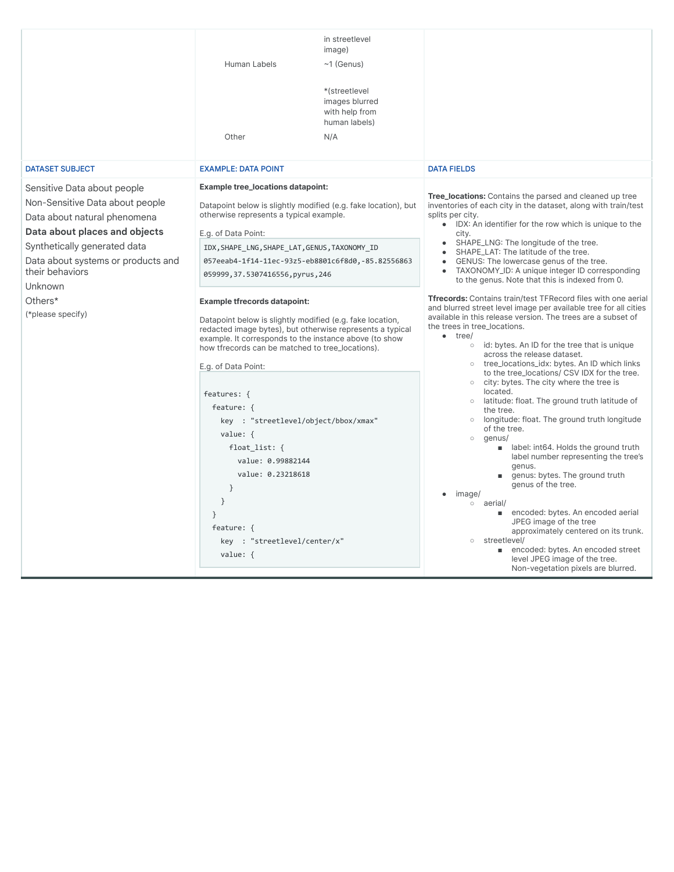|                                                                                                                                                                                                                                                                     | Human Labels<br>Other                                                                                                                                                                                                                                                                                                                                                                                                                                                                                                                                                                                                                                      | in streetlevel<br>image)<br>$~1$ (Genus)<br>*(streetlevel<br>images blurred<br>with help from<br>human labels)<br>N/A |                                                                                                                                                                                                                                                                                                                                                                                                                                                                                                                                                                                                                                                                                                                                                                                                                                                                                                                                                                                                                                     |  |
|---------------------------------------------------------------------------------------------------------------------------------------------------------------------------------------------------------------------------------------------------------------------|------------------------------------------------------------------------------------------------------------------------------------------------------------------------------------------------------------------------------------------------------------------------------------------------------------------------------------------------------------------------------------------------------------------------------------------------------------------------------------------------------------------------------------------------------------------------------------------------------------------------------------------------------------|-----------------------------------------------------------------------------------------------------------------------|-------------------------------------------------------------------------------------------------------------------------------------------------------------------------------------------------------------------------------------------------------------------------------------------------------------------------------------------------------------------------------------------------------------------------------------------------------------------------------------------------------------------------------------------------------------------------------------------------------------------------------------------------------------------------------------------------------------------------------------------------------------------------------------------------------------------------------------------------------------------------------------------------------------------------------------------------------------------------------------------------------------------------------------|--|
| <b>DATASET SUBJECT</b>                                                                                                                                                                                                                                              | <b>EXAMPLE: DATA POINT</b>                                                                                                                                                                                                                                                                                                                                                                                                                                                                                                                                                                                                                                 |                                                                                                                       | <b>DATA FIELDS</b>                                                                                                                                                                                                                                                                                                                                                                                                                                                                                                                                                                                                                                                                                                                                                                                                                                                                                                                                                                                                                  |  |
| Sensitive Data about people<br>Non-Sensitive Data about people<br>Data about natural phenomena<br>Data about places and objects<br>Synthetically generated data<br>Data about systems or products and<br>their behaviors<br>Unknown<br>Others*<br>(*please specify) | <b>Example tree_locations datapoint:</b><br>Datapoint below is slightly modified (e.g. fake location), but<br>otherwise represents a typical example.<br>E.g. of Data Point:<br>IDX, SHAPE_LNG, SHAPE_LAT, GENUS, TAXONOMY_ID<br>057eeab4-1f14-11ec-93z5-eb8801c6f8d0,-85.82556863<br>059999, 37.5307416556, pyrus, 246<br><b>Example tfrecords datapoint:</b><br>Datapoint below is slightly modified (e.g. fake location,<br>redacted image bytes), but otherwise represents a typical<br>example. It corresponds to the instance above (to show<br>how tfrecords can be matched to tree_locations).<br>E.g. of Data Point:<br>features: {<br>feature: { |                                                                                                                       | Tree_locations: Contains the parsed and cleaned up tree<br>inventories of each city in the dataset, along with train/test<br>splits per city.<br>• IDX: An identifier for the row which is unique to the<br>city.<br>SHAPE_LNG: The longitude of the tree.<br>SHAPE_LAT: The latitude of the tree.<br>GENUS: The lowercase genus of the tree.<br>TAXONOMY_ID: A unique integer ID corresponding<br>to the genus. Note that this is indexed from 0.<br>Tfrecords: Contains train/test TFRecord files with one aerial<br>and blurred street level image per available tree for all cities<br>available in this release version. The trees are a subset of<br>the trees in tree locations.<br>$\bullet$ tree/<br>o id: bytes. An ID for the tree that is unique<br>across the release dataset.<br>tree_locations_idx: bytes. An ID which links<br>to the tree_locations/ CSV IDX for the tree.<br>$\circ$ city: bytes. The city where the tree is<br>located.<br>latitude: float. The ground truth latitude of<br>$\circ$<br>the tree. |  |
|                                                                                                                                                                                                                                                                     | key : "streetlevel/object/bbox/xmax"<br>value: {<br>float_list: $\{$<br>value: 0.99882144<br>value: 0.23218618<br>$\}$<br>$\}$<br>$\}$<br>feature: {<br>key : "streetlevel/center/x"<br>value: {                                                                                                                                                                                                                                                                                                                                                                                                                                                           |                                                                                                                       | longitude: float. The ground truth longitude<br>$\circ$<br>of the tree.<br>genus/<br>$\circ$<br>a label: int64. Holds the ground truth<br>label number representing the tree's<br>genus.<br>genus: bytes. The ground truth<br>m.<br>genus of the tree.<br>image/<br>o aerial/<br>■ encoded: bytes. An encoded aerial<br>JPEG image of the tree<br>approximately centered on its trunk.<br>streetlevel/<br>$\circ$<br>■ encoded: bytes. An encoded street<br>level JPEG image of the tree.<br>Non-vegetation pixels are blurred.                                                                                                                                                                                                                                                                                                                                                                                                                                                                                                     |  |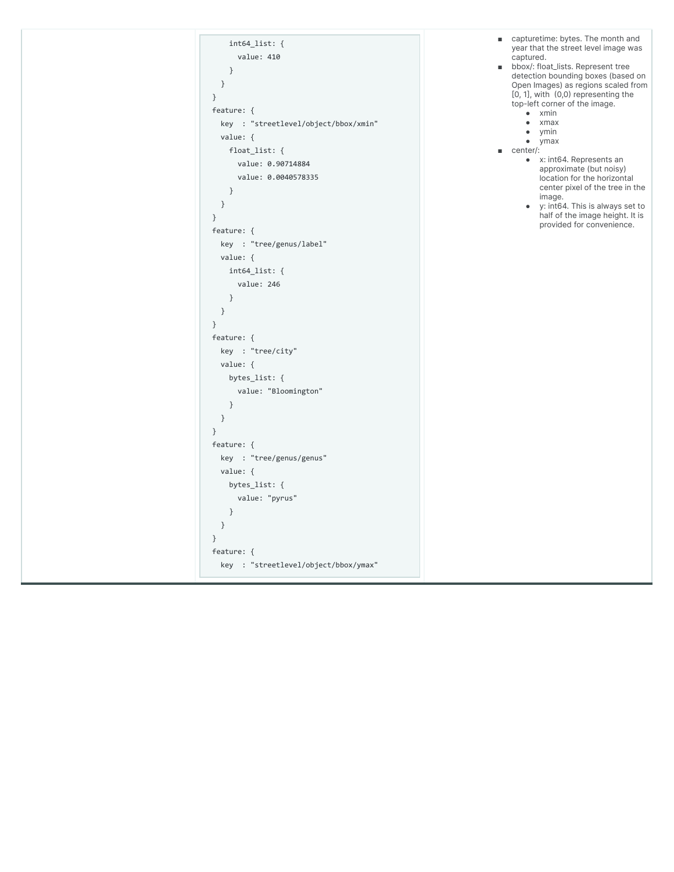| $int64_{list:}$<br>value: 410<br>$\}$<br>$\}$<br>$\}$<br>feature: {<br>key : "streetlevel/object/bbox/xmin"<br>value: $\{$<br>float_list: {<br>value: 0.90714884<br>value: 0.0040578335<br>$\mathcal{F}$<br>$\}$<br>$\}$<br>feature: {<br>key : "tree/genus/label"<br>value: $\{$<br>$int64$ <sup>list:</sup> {<br>value: 246<br>$\}$<br>$\}$<br>$\mathcal{F}$<br>feature: {<br>key : "tree/city"<br>value: {<br>bytes_list: $\{$<br>value: "Bloomington"<br>$\}$<br>$\}$<br>$\mathcal{F}$<br>feature: {<br>key : "tree/genus/genus"<br>value: {<br>bytes_list: {<br>value: "pyrus"<br>$\}$ | ٠<br>٠ | capturetime: bytes. The month and<br>year that the street level image was<br>captured.<br>bbox/: float_lists. Represent tree<br>detection bounding boxes (based on<br>Open Images) as regions scaled from<br>$[0, 1]$ , with $(0, 0)$ representing the<br>top-left corner of the image.<br>xmin<br>$\bullet$<br>xmax<br>$\bullet$<br>ymin<br>ymax<br>$\bullet$<br>center/:<br>• x: int64. Represents an<br>approximate (but noisy)<br>location for the horizontal<br>center pixel of the tree in the<br>image.<br>• y: int64. This is always set to<br>half of the image height. It is<br>provided for convenience. |
|---------------------------------------------------------------------------------------------------------------------------------------------------------------------------------------------------------------------------------------------------------------------------------------------------------------------------------------------------------------------------------------------------------------------------------------------------------------------------------------------------------------------------------------------------------------------------------------------|--------|---------------------------------------------------------------------------------------------------------------------------------------------------------------------------------------------------------------------------------------------------------------------------------------------------------------------------------------------------------------------------------------------------------------------------------------------------------------------------------------------------------------------------------------------------------------------------------------------------------------------|
| }<br>$\}$<br>feature: {                                                                                                                                                                                                                                                                                                                                                                                                                                                                                                                                                                     |        |                                                                                                                                                                                                                                                                                                                                                                                                                                                                                                                                                                                                                     |
| key : "streetlevel/object/bbox/ymax"                                                                                                                                                                                                                                                                                                                                                                                                                                                                                                                                                        |        |                                                                                                                                                                                                                                                                                                                                                                                                                                                                                                                                                                                                                     |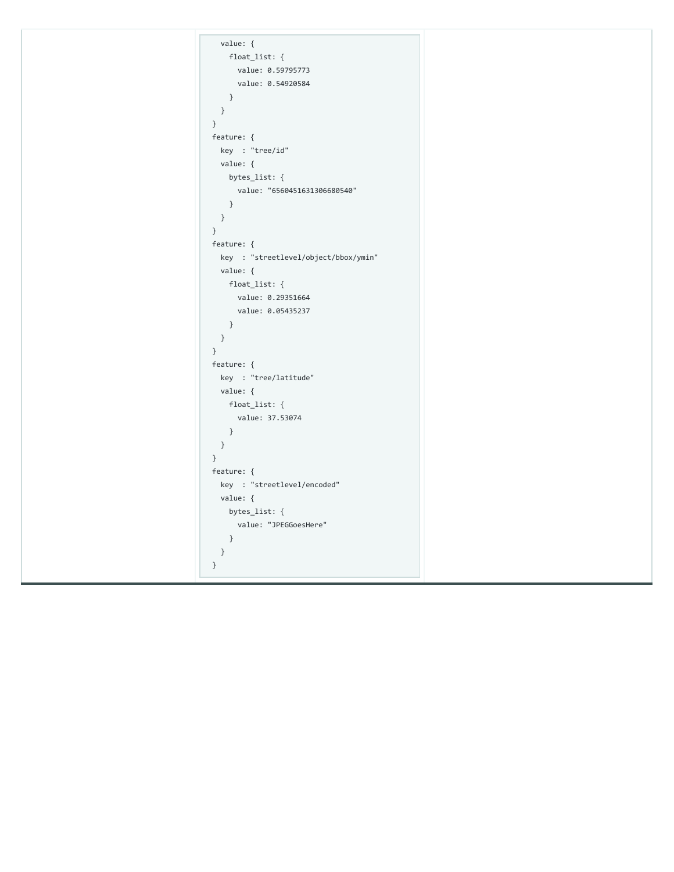| value: {                             |
|--------------------------------------|
| float_list: {                        |
| value: 0.59795773                    |
| value: 0.54920584                    |
| $\}$                                 |
| $\}$                                 |
| $\}$                                 |
|                                      |
| feature: {                           |
| key : "tree/id"                      |
| value: {                             |
| bytes_list: {                        |
| value: "6560451631306680540"         |
| $\}$                                 |
| $\}$                                 |
| $\}$                                 |
| feature: {                           |
| key : "streetlevel/object/bbox/ymin" |
| value: {                             |
| float_list: {                        |
| value: 0.29351664                    |
| value: 0.05435237                    |
|                                      |
| $\}$                                 |
| $\}$                                 |
| $\}$                                 |
| feature: {                           |
| key : "tree/latitude"                |
| value: {                             |
| float_list: {                        |
| value: 37.53074                      |
| $\}$                                 |
| $\}$                                 |
| $\}$                                 |
| feature: {                           |
| key : "streetlevel/encoded"          |
| value: {                             |
| bytes_list: {                        |
| value: "JPEGGoesHere"                |
|                                      |
| $\}$                                 |
| $\}$                                 |
| $\}$                                 |
|                                      |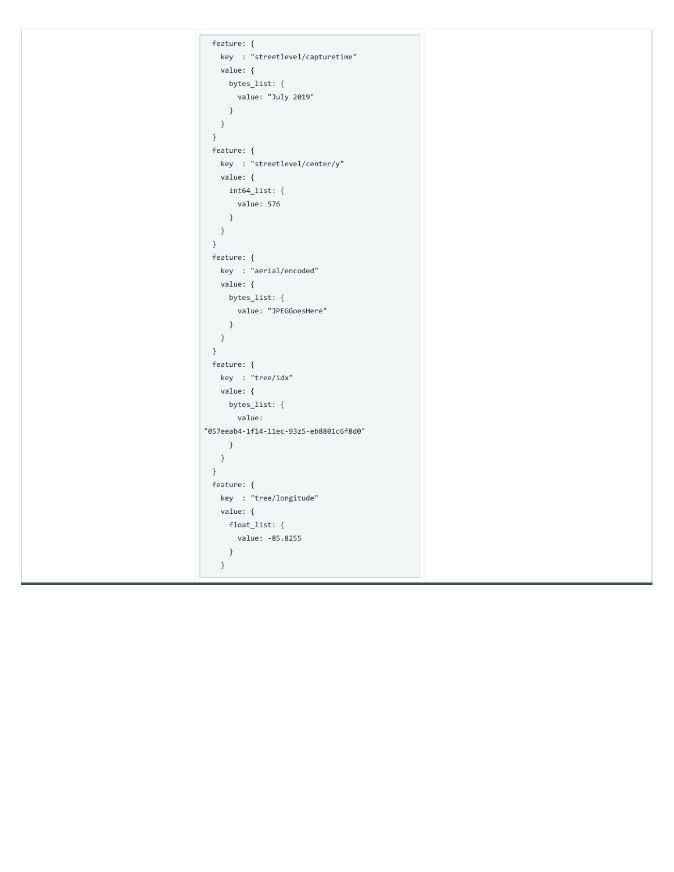| feature: {                             |
|----------------------------------------|
| key : "streetlevel/capturetime"        |
| value: {                               |
| bytes_list: {                          |
| value: "July 2019"                     |
| $\}$                                   |
| $\}$                                   |
| $\}$                                   |
| feature: {                             |
| key : "streetlevel/center/y"           |
| value: {                               |
| $int64\_list:$ {                       |
| value: 576                             |
| $\}$                                   |
|                                        |
| $\}$                                   |
| $\}$                                   |
| feature: {                             |
| key : "aerial/encoded"                 |
| value: {                               |
| bytes_list: {                          |
| value: "JPEGGoesHere"                  |
| $\}$                                   |
| $\}$                                   |
| $\}$                                   |
| feature: {                             |
| key : "tree/idx"                       |
| value: {                               |
| bytes_list: {                          |
| value:                                 |
| "057eeab4-1f14-11ec-93z5-eb8801c6f8d0" |
| $\}$                                   |
| $\}$                                   |
| $\}$                                   |
|                                        |
| feature: {                             |
| key : "tree/longitude"                 |
| value: {                               |
| float_list: {                          |
| value: -85.8255                        |
| $\}$                                   |
| $\}$                                   |
|                                        |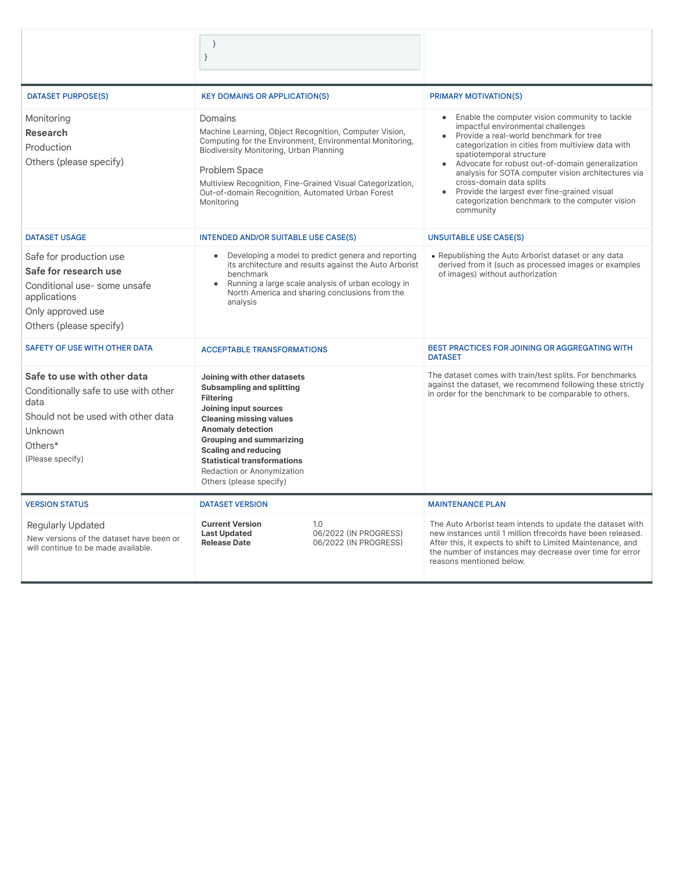|                                                                                                                                                             | $\}$<br>$\}$                                                                                                                                                                                                                                                                                                                                |                                                       |                                                                                                                                                                                                                                                                                                                                                                                                                                                                                 |
|-------------------------------------------------------------------------------------------------------------------------------------------------------------|---------------------------------------------------------------------------------------------------------------------------------------------------------------------------------------------------------------------------------------------------------------------------------------------------------------------------------------------|-------------------------------------------------------|---------------------------------------------------------------------------------------------------------------------------------------------------------------------------------------------------------------------------------------------------------------------------------------------------------------------------------------------------------------------------------------------------------------------------------------------------------------------------------|
| <b>DATASET PURPOSE(S)</b>                                                                                                                                   | <b>KEY DOMAINS OR APPLICATION(S)</b>                                                                                                                                                                                                                                                                                                        |                                                       | <b>PRIMARY MOTIVATION(S)</b>                                                                                                                                                                                                                                                                                                                                                                                                                                                    |
| Monitoring<br><b>Research</b><br>Production<br>Others (please specify)                                                                                      | Domains<br>Machine Learning, Object Recognition, Computer Vision,<br>Computing for the Environment, Environmental Monitoring,<br>Biodiversity Monitoring, Urban Planning<br>Problem Space<br>Multiview Recognition, Fine-Grained Visual Categorization,<br>Out-of-domain Recognition, Automated Urban Forest<br>Monitoring                  |                                                       | • Enable the computer vision community to tackle<br>impactful environmental challenges<br>• Provide a real-world benchmark for tree<br>categorization in cities from multiview data with<br>spatiotemporal structure<br>• Advocate for robust out-of-domain generalization<br>analysis for SOTA computer vision architectures via<br>cross-domain data splits<br>• Provide the largest ever fine-grained visual<br>categorization benchmark to the computer vision<br>community |
| <b>DATASET USAGE</b>                                                                                                                                        | <b>INTENDED AND/OR SUITABLE USE CASE(S)</b>                                                                                                                                                                                                                                                                                                 |                                                       | <b>UNSUITABLE USE CASE(S)</b>                                                                                                                                                                                                                                                                                                                                                                                                                                                   |
| Safe for production use<br>Safe for research use<br>Conditional use-some unsafe<br>applications<br>Only approved use<br>Others (please specify)             | • Developing a model to predict genera and reporting<br>its architecture and results against the Auto Arborist<br>benchmark<br>Running a large scale analysis of urban ecology in<br>North America and sharing conclusions from the<br>analysis                                                                                             |                                                       | • Republishing the Auto Arborist dataset or any data<br>derived from it (such as processed images or examples<br>of images) without authorization                                                                                                                                                                                                                                                                                                                               |
| SAFETY OF USE WITH OTHER DATA                                                                                                                               | <b>ACCEPTABLE TRANSFORMATIONS</b>                                                                                                                                                                                                                                                                                                           |                                                       | BEST PRACTICES FOR JOINING OR AGGREGATING WITH<br><b>DATASET</b>                                                                                                                                                                                                                                                                                                                                                                                                                |
| Safe to use with other data<br>Conditionally safe to use with other<br>data<br>Should not be used with other data<br>Unknown<br>Others*<br>(Please specify) | Joining with other datasets<br><b>Subsampling and splitting</b><br><b>Filtering</b><br>Joining input sources<br><b>Cleaning missing values</b><br><b>Anomaly detection</b><br><b>Grouping and summarizing</b><br><b>Scaling and reducing</b><br><b>Statistical transformations</b><br>Redaction or Anonymization<br>Others (please specify) |                                                       | The dataset comes with train/test splits. For benchmarks<br>against the dataset, we recommend following these strictly<br>in order for the benchmark to be comparable to others.                                                                                                                                                                                                                                                                                                |
| <b>VERSION STATUS</b>                                                                                                                                       | <b>DATASET VERSION</b>                                                                                                                                                                                                                                                                                                                      |                                                       | <b>MAINTENANCE PLAN</b>                                                                                                                                                                                                                                                                                                                                                                                                                                                         |
| Regularly Updated<br>New versions of the dataset have been or<br>will continue to be made available.                                                        | <b>Current Version</b><br><b>Last Updated</b><br><b>Release Date</b>                                                                                                                                                                                                                                                                        | 1.0<br>06/2022 (IN PROGRESS)<br>06/2022 (IN PROGRESS) | The Auto Arborist team intends to update the dataset with<br>new instances until 1 million tfrecords have been released.<br>After this, it expects to shift to Limited Maintenance, and<br>the number of instances may decrease over time for error<br>reasons mentioned below.                                                                                                                                                                                                 |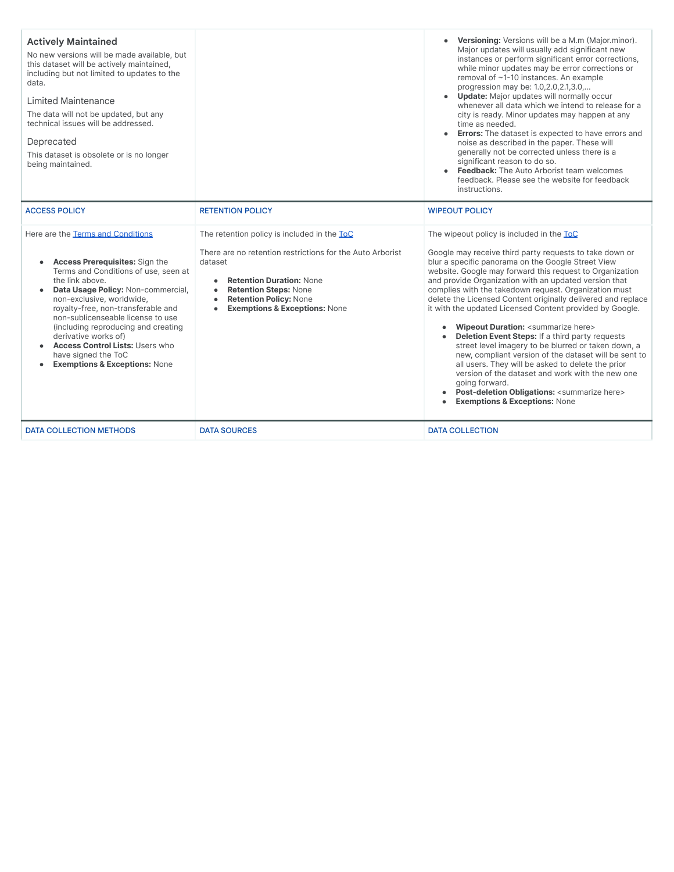| <b>Actively Maintained</b><br>No new versions will be made available, but<br>this dataset will be actively maintained,<br>including but not limited to updates to the<br>data.<br><b>Limited Maintenance</b><br>The data will not be updated, but any<br>technical issues will be addressed.<br>Deprecated<br>This dataset is obsolete or is no longer<br>being maintained.                                                                                                        |                                                                                                                                                                                                                                                                                                            | Versioning: Versions will be a M.m (Major.minor).<br>Major updates will usually add significant new<br>instances or perform significant error corrections,<br>while minor updates may be error corrections or<br>removal of ~1-10 instances. An example<br>progression may be: 1.0,2.0,2.1,3.0,<br>• Update: Major updates will normally occur<br>whenever all data which we intend to release for a<br>city is ready. Minor updates may happen at any<br>time as needed.<br>• Errors: The dataset is expected to have errors and<br>noise as described in the paper. These will<br>generally not be corrected unless there is a<br>significant reason to do so.<br>• Feedback: The Auto Arborist team welcomes<br>feedback. Please see the website for feedback<br>instructions.                                                                                                                                                                                    |
|------------------------------------------------------------------------------------------------------------------------------------------------------------------------------------------------------------------------------------------------------------------------------------------------------------------------------------------------------------------------------------------------------------------------------------------------------------------------------------|------------------------------------------------------------------------------------------------------------------------------------------------------------------------------------------------------------------------------------------------------------------------------------------------------------|----------------------------------------------------------------------------------------------------------------------------------------------------------------------------------------------------------------------------------------------------------------------------------------------------------------------------------------------------------------------------------------------------------------------------------------------------------------------------------------------------------------------------------------------------------------------------------------------------------------------------------------------------------------------------------------------------------------------------------------------------------------------------------------------------------------------------------------------------------------------------------------------------------------------------------------------------------------------|
| <b>ACCESS POLICY</b>                                                                                                                                                                                                                                                                                                                                                                                                                                                               | <b>RETENTION POLICY</b>                                                                                                                                                                                                                                                                                    | <b>WIPEOUT POLICY</b>                                                                                                                                                                                                                                                                                                                                                                                                                                                                                                                                                                                                                                                                                                                                                                                                                                                                                                                                                |
| Here are the Terms and Conditions<br><b>Access Prerequisites: Sign the</b><br>$\bullet$<br>Terms and Conditions of use, seen at<br>the link above.<br>Data Usage Policy: Non-commercial,<br>$\bullet$<br>non-exclusive, worldwide,<br>royalty-free, non-transferable and<br>non-sublicenseable license to use<br>(including reproducing and creating<br>derivative works of)<br>Access Control Lists: Users who<br>have signed the ToC<br><b>Exemptions &amp; Exceptions: None</b> | The retention policy is included in the ToC<br>There are no retention restrictions for the Auto Arborist<br>dataset<br><b>Retention Duration: None</b><br>$\bullet$<br><b>Retention Steps: None</b><br>$\bullet$<br><b>Retention Policy: None</b><br><b>Exemptions &amp; Exceptions: None</b><br>$\bullet$ | The wipeout policy is included in the ToC<br>Google may receive third party requests to take down or<br>blur a specific panorama on the Google Street View<br>website. Google may forward this request to Organization<br>and provide Organization with an updated version that<br>complies with the takedown request. Organization must<br>delete the Licensed Content originally delivered and replace<br>it with the updated Licensed Content provided by Google.<br>Wipeout Duration: <summarize here=""><br/>Deletion Event Steps: If a third party requests<br/><math>\bullet</math><br/>street level imagery to be blurred or taken down, a<br/>new, compliant version of the dataset will be sent to<br/>all users. They will be asked to delete the prior<br/>version of the dataset and work with the new one<br/>going forward.<br/>• Post-deletion Obligations: <summarize here=""><br/><b>Exemptions &amp; Exceptions: None</b></summarize></summarize> |
| <b>DATA COLLECTION METHODS</b>                                                                                                                                                                                                                                                                                                                                                                                                                                                     | <b>DATA SOURCES</b>                                                                                                                                                                                                                                                                                        | <b>DATA COLLECTION</b>                                                                                                                                                                                                                                                                                                                                                                                                                                                                                                                                                                                                                                                                                                                                                                                                                                                                                                                                               |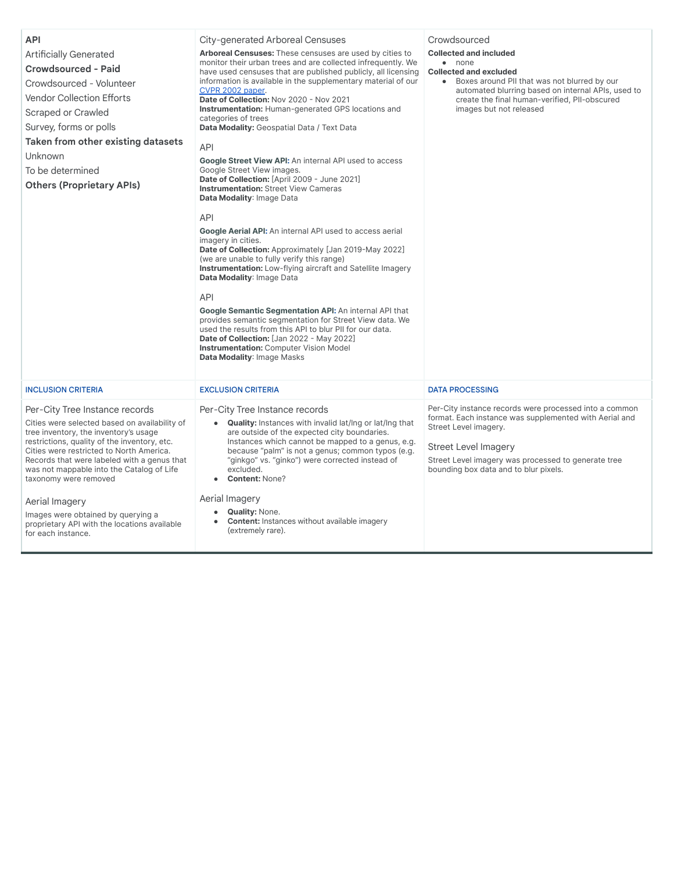| <b>API</b><br><b>Artificially Generated</b><br><b>Crowdsourced - Paid</b><br>Crowdsourced - Volunteer<br><b>Vendor Collection Efforts</b><br>Scraped or Crawled<br>Survey, forms or polls<br>Taken from other existing datasets<br>Unknown<br>To be determined<br><b>Others (Proprietary APIs)</b>                                                                                                                                                                      | City-generated Arboreal Censuses<br>Arboreal Censuses: These censuses are used by cities to<br>monitor their urban trees and are collected infrequently. We<br>have used censuses that are published publicly, all licensing<br>information is available in the supplementary material of our<br>CVPR 2002 paper.<br>Date of Collection: Nov 2020 - Nov 2021<br><b>Instrumentation:</b> Human-generated GPS locations and<br>categories of trees<br>Data Modality: Geospatial Data / Text Data<br>API<br>Google Street View API: An internal API used to access<br>Google Street View images.<br>Date of Collection: [April 2009 - June 2021]<br><b>Instrumentation: Street View Cameras</b><br>Data Modality: Image Data<br><b>API</b><br><b>Google Aerial API:</b> An internal API used to access aerial<br>imagery in cities.<br>Date of Collection: Approximately [Jan 2019-May 2022]<br>(we are unable to fully verify this range)<br><b>Instrumentation:</b> Low-flying aircraft and Satellite Imagery<br>Data Modality: Image Data<br><b>API</b><br>Google Semantic Segmentation API: An internal API that<br>provides semantic segmentation for Street View data. We<br>used the results from this API to blur PII for our data.<br>Date of Collection: [Jan 2022 - May 2022]<br><b>Instrumentation: Computer Vision Model</b><br>Data Modality: Image Masks | Crowdsourced<br><b>Collected and included</b><br>$\bullet$ none<br><b>Collected and excluded</b><br>Boxes around PII that was not blurred by our<br>$\bullet$<br>automated blurring based on internal APIs, used to<br>create the final human-verified, PII-obscured<br>images but not released |
|-------------------------------------------------------------------------------------------------------------------------------------------------------------------------------------------------------------------------------------------------------------------------------------------------------------------------------------------------------------------------------------------------------------------------------------------------------------------------|----------------------------------------------------------------------------------------------------------------------------------------------------------------------------------------------------------------------------------------------------------------------------------------------------------------------------------------------------------------------------------------------------------------------------------------------------------------------------------------------------------------------------------------------------------------------------------------------------------------------------------------------------------------------------------------------------------------------------------------------------------------------------------------------------------------------------------------------------------------------------------------------------------------------------------------------------------------------------------------------------------------------------------------------------------------------------------------------------------------------------------------------------------------------------------------------------------------------------------------------------------------------------------------------------------------------------------------------------------------------|-------------------------------------------------------------------------------------------------------------------------------------------------------------------------------------------------------------------------------------------------------------------------------------------------|
| <b>INCLUSION CRITERIA</b>                                                                                                                                                                                                                                                                                                                                                                                                                                               | <b>EXCLUSION CRITERIA</b>                                                                                                                                                                                                                                                                                                                                                                                                                                                                                                                                                                                                                                                                                                                                                                                                                                                                                                                                                                                                                                                                                                                                                                                                                                                                                                                                            | <b>DATA PROCESSING</b>                                                                                                                                                                                                                                                                          |
| Per-City Tree Instance records<br>Cities were selected based on availability of<br>tree inventory, the inventory's usage<br>restrictions, quality of the inventory, etc.<br>Cities were restricted to North America.<br>Records that were labeled with a genus that<br>was not mappable into the Catalog of Life<br>taxonomy were removed<br>Aerial Imagery<br>Images were obtained by querying a<br>proprietary API with the locations available<br>for each instance. | Per-City Tree Instance records<br><b>Quality:</b> Instances with invalid lat/Ing or lat/Ing that<br>$\bullet$<br>are outside of the expected city boundaries.<br>Instances which cannot be mapped to a genus, e.g.<br>because "palm" is not a genus; common typos (e.g.<br>"ginkgo" vs. "ginko") were corrected instead of<br>excluded.<br>Content: None?<br>Aerial Imagery<br><b>Quality: None.</b><br>$\bullet$<br><b>Content:</b> Instances without available imagery<br>(extremely rare).                                                                                                                                                                                                                                                                                                                                                                                                                                                                                                                                                                                                                                                                                                                                                                                                                                                                        | Per-City instance records were processed into a common<br>format. Each instance was supplemented with Aerial and<br>Street Level imagery.<br>Street Level Imagery<br>Street Level imagery was processed to generate tree<br>bounding box data and to blur pixels.                               |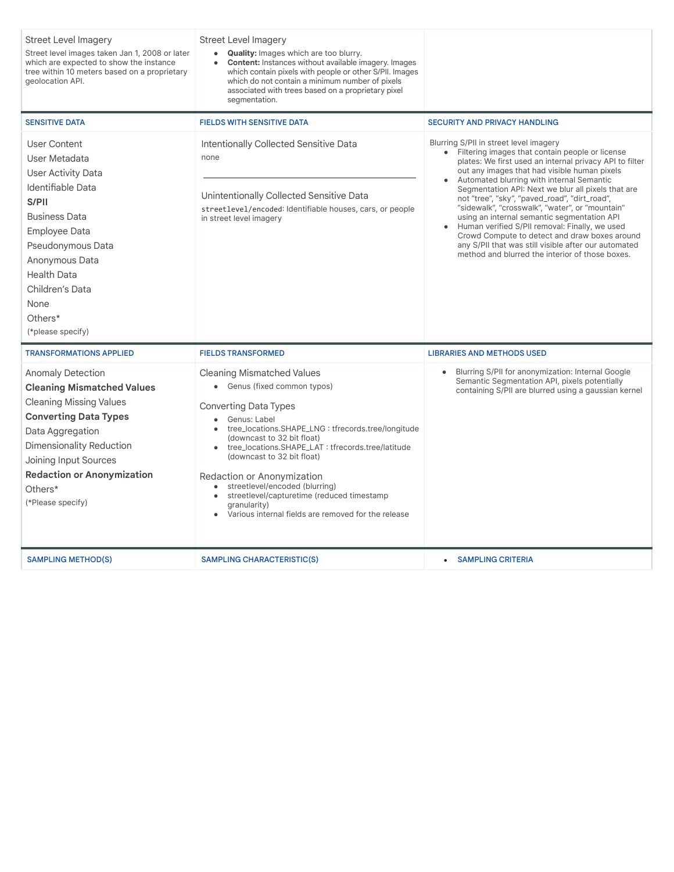| <b>Street Level Imagery</b><br>Street level images taken Jan 1, 2008 or later<br>which are expected to show the instance<br>tree within 10 meters based on a proprietary<br>geolocation API.                                                                                         | Street Level Imagery<br>• Quality: Images which are too blurry.<br>Content: Instances without available imagery. Images<br>which contain pixels with people or other S/PII. Images<br>which do not contain a minimum number of pixels<br>associated with trees based on a proprietary pixel<br>segmentation.                                                                                                                                                                               |                                                                                                                                                                                                                                                                                                                                                                                                                                                                                                                                                                                                                                                                            |
|--------------------------------------------------------------------------------------------------------------------------------------------------------------------------------------------------------------------------------------------------------------------------------------|--------------------------------------------------------------------------------------------------------------------------------------------------------------------------------------------------------------------------------------------------------------------------------------------------------------------------------------------------------------------------------------------------------------------------------------------------------------------------------------------|----------------------------------------------------------------------------------------------------------------------------------------------------------------------------------------------------------------------------------------------------------------------------------------------------------------------------------------------------------------------------------------------------------------------------------------------------------------------------------------------------------------------------------------------------------------------------------------------------------------------------------------------------------------------------|
| <b>SENSITIVE DATA</b>                                                                                                                                                                                                                                                                | <b>FIELDS WITH SENSITIVE DATA</b>                                                                                                                                                                                                                                                                                                                                                                                                                                                          | <b>SECURITY AND PRIVACY HANDLING</b>                                                                                                                                                                                                                                                                                                                                                                                                                                                                                                                                                                                                                                       |
| <b>User Content</b><br>User Metadata<br><b>User Activity Data</b><br>Identifiable Data<br>S/PII<br><b>Business Data</b><br>Employee Data<br>Pseudonymous Data<br>Anonymous Data<br><b>Health Data</b><br>Children's Data<br>None<br>Others*<br>(*please specify)                     | Intentionally Collected Sensitive Data<br>none<br>Unintentionally Collected Sensitive Data<br>streetlevel/encoded: Identifiable houses, cars, or people<br>in street level imagery                                                                                                                                                                                                                                                                                                         | Blurring S/PII in street level imagery<br>• Filtering images that contain people or license<br>plates: We first used an internal privacy API to filter<br>out any images that had visible human pixels<br>Automated blurring with internal Semantic<br>Segmentation API: Next we blur all pixels that are<br>not "tree", "sky", "paved_road", "dirt_road",<br>"sidewalk", "crosswalk", "water", or "mountain"<br>using an internal semantic segmentation API<br>Human verified S/PII removal: Finally, we used<br>Crowd Compute to detect and draw boxes around<br>any S/PII that was still visible after our automated<br>method and blurred the interior of those boxes. |
| <b>TRANSFORMATIONS APPLIED</b>                                                                                                                                                                                                                                                       | <b>FIELDS TRANSFORMED</b>                                                                                                                                                                                                                                                                                                                                                                                                                                                                  | <b>LIBRARIES AND METHODS USED</b>                                                                                                                                                                                                                                                                                                                                                                                                                                                                                                                                                                                                                                          |
| <b>Anomaly Detection</b><br><b>Cleaning Mismatched Values</b><br><b>Cleaning Missing Values</b><br><b>Converting Data Types</b><br>Data Aggregation<br><b>Dimensionality Reduction</b><br>Joining Input Sources<br><b>Redaction or Anonymization</b><br>Others*<br>(*Please specify) | <b>Cleaning Mismatched Values</b><br>• Genus (fixed common typos)<br><b>Converting Data Types</b><br>Genus: Label<br>tree_locations.SHAPE_LNG: tfrecords.tree/longitude<br>(downcast to 32 bit float)<br>tree_locations.SHAPE_LAT: tfrecords.tree/latitude<br>(downcast to 32 bit float)<br>Redaction or Anonymization<br>streetlevel/encoded (blurring)<br>$\bullet$<br>streetlevel/capturetime (reduced timestamp<br>granularity)<br>Various internal fields are removed for the release | Blurring S/PII for anonymization: Internal Google<br>Semantic Segmentation API, pixels potentially<br>containing S/PII are blurred using a gaussian kernel                                                                                                                                                                                                                                                                                                                                                                                                                                                                                                                 |
| <b>SAMPLING METHOD(S)</b>                                                                                                                                                                                                                                                            | <b>SAMPLING CHARACTERISTIC(S)</b>                                                                                                                                                                                                                                                                                                                                                                                                                                                          | <b>SAMPLING CRITERIA</b>                                                                                                                                                                                                                                                                                                                                                                                                                                                                                                                                                                                                                                                   |